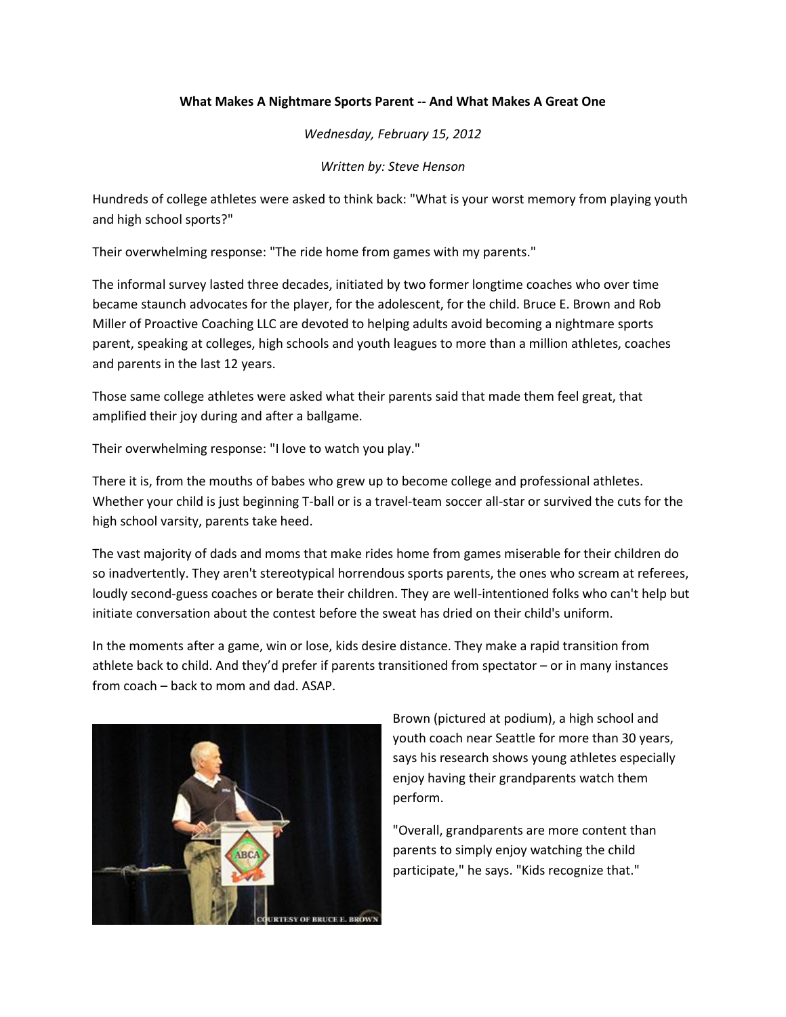## **What Makes A Nightmare Sports Parent -- And What Makes A Great One**

*Wednesday, February 15, 2012*

*Written by[: Steve Henson](http://www.thepostgame.com/author/steve-henson)*

Hundreds of college athletes were asked to think back: "What is your worst memory from playing youth and high school sports?"

Their overwhelming response: "The ride home from games with my parents."

The informal survey lasted three decades, initiated by two former longtime coaches who over time became staunch advocates for the player, for the adolescent, for the child. Bruce E. Brown and Rob Miller of Proactive Coaching LLC are devoted to helping adults avoid becoming a nightmare sports parent, speaking at colleges, high schools and youth leagues to more than a million athletes, coaches and parents in the last 12 years.

Those same college athletes were asked what their parents said that made them feel great, that amplified their joy during and after a ballgame.

Their overwhelming response: "I love to watch you play."

There it is, from the mouths of babes who grew up to become college and professional athletes. Whether your child is just beginning T-ball or is a travel-team soccer all-star or survived the cuts for the high school varsity, parents take heed.

The vast majority of dads and moms that make rides home from games miserable for their children do so inadvertently. They aren't stereotypical horrendous sports parents, the ones who scream at referees, loudly second-guess coaches or berate their children. They are well-intentioned folks who can't help but initiate conversation about the contest before the sweat has dried on their child's uniform.

In the moments after a game, win or lose, kids desire distance. They make a rapid transition from athlete back to child. And they'd prefer if parents transitioned from spectator – or in many instances from coach – back to mom and dad. ASAP.



Brown (pictured at podium), a high school and youth coach near Seattle for more than 30 years, says his research shows young athletes especially enjoy having their grandparents watch them perform.

"Overall, grandparents are more content than parents to simply enjoy watching the child participate," he says. "Kids recognize that."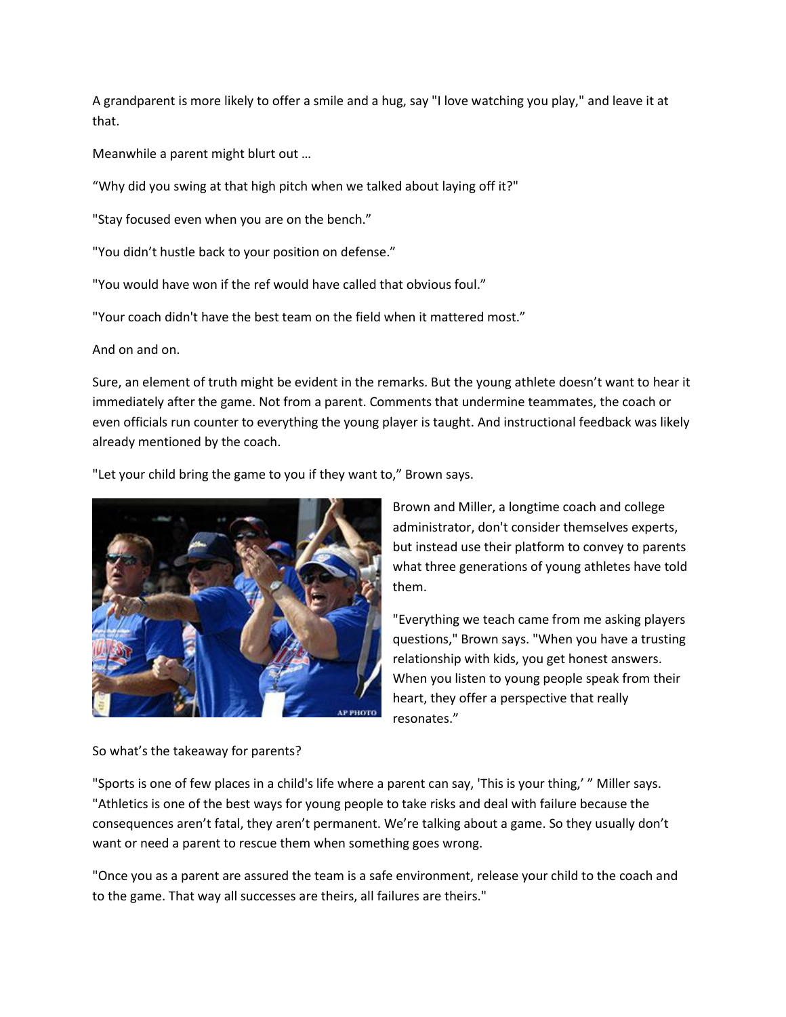A grandparent is more likely to offer a smile and a hug, say "I love watching you play," and leave it at that.

Meanwhile a parent might blurt out …

"Why did you swing at that high pitch when we talked about laying off it?"

"Stay focused even when you are on the bench."

"You didn't hustle back to your position on defense."

"You would have won if the ref would have called that obvious foul."

"Your coach didn't have the best team on the field when it mattered most."

And on and on.

Sure, an element of truth might be evident in the remarks. But the young athlete doesn't want to hear it immediately after the game. Not from a parent. Comments that undermine teammates, the coach or even officials run counter to everything the young player is taught. And instructional feedback was likely already mentioned by the coach.

"Let your child bring the game to you if they want to," Brown says.



Brown and Miller, a longtime coach and college administrator, don't consider themselves experts, but instead use their platform to convey to parents what three generations of young athletes have told them.

"Everything we teach came from me asking players questions," Brown says. "When you have a trusting relationship with kids, you get honest answers. When you listen to young people speak from their heart, they offer a perspective that really resonates."

So what's the takeaway for parents?

"Sports is one of few places in a child's life where a parent can say, 'This is your thing,' " Miller says. "Athletics is one of the best ways for young people to take risks and deal with failure because the consequences aren't fatal, they aren't permanent. We're talking about a game. So they usually don't want or need a parent to rescue them when something goes wrong.

"Once you as a parent are assured the team is a safe environment, release your child to the coach and to the game. That way all successes are theirs, all failures are theirs."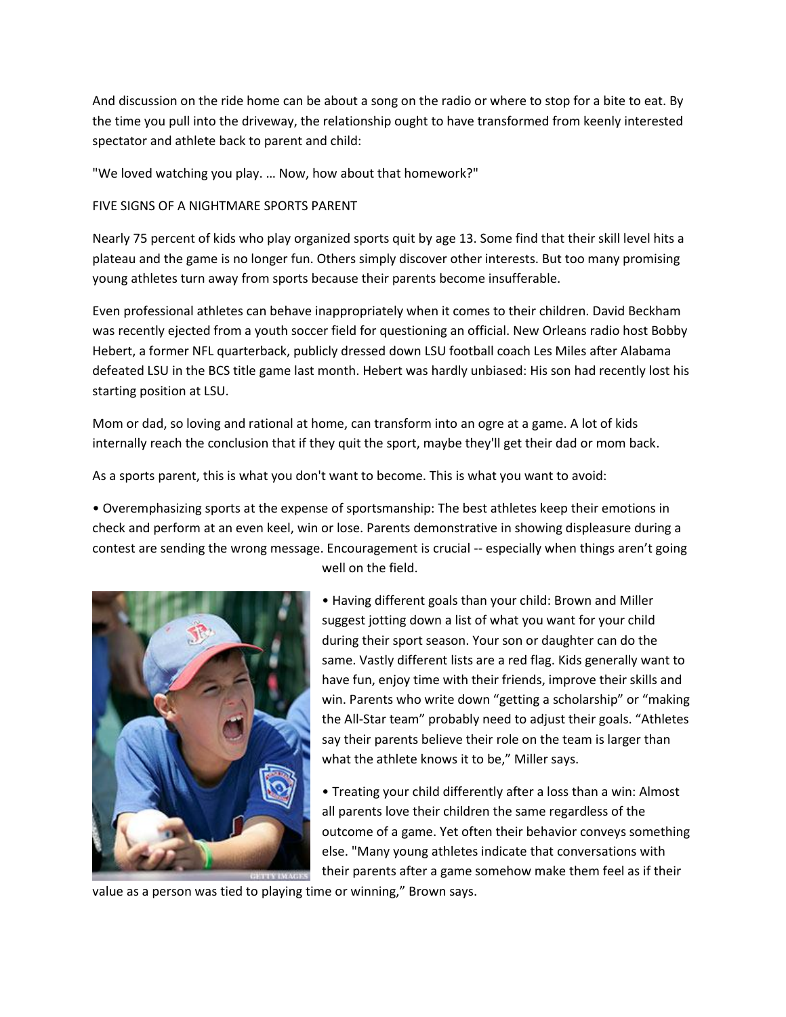And discussion on the ride home can be about a song on the radio or where to stop for a bite to eat. By the time you pull into the driveway, the relationship ought to have transformed from keenly interested spectator and athlete back to parent and child:

"We loved watching you play. … Now, how about that homework?"

## FIVE SIGNS OF A NIGHTMARE SPORTS PARENT

Nearly 75 percent of kids who play organized sports quit by age 13. Some find that their skill level hits a plateau and the game is no longer fun. Others simply discover other interests. But too many promising young athletes turn away from sports because their parents become insufferable.

Even professional athletes can behave inappropriately when it comes to their children. David Beckham was recently ejected from a youth soccer field for questioning an official. New Orleans radio host Bobby Hebert, a former NFL quarterback, publicly dressed down LSU football coach Les Miles after Alabama defeated LSU in the BCS title game last month. Hebert was hardly unbiased: His son had recently lost his starting position at LSU.

Mom or dad, so loving and rational at home, can transform into an ogre at a game. A lot of kids internally reach the conclusion that if they quit the sport, maybe they'll get their dad or mom back.

As a sports parent, this is what you don't want to become. This is what you want to avoid:

• Overemphasizing sports at the expense of sportsmanship: The best athletes keep their emotions in check and perform at an even keel, win or lose. Parents demonstrative in showing displeasure during a contest are sending the wrong message. Encouragement is crucial -- especially when things aren't going



well on the field.

• Having different goals than your child: Brown and Miller suggest jotting down a list of what you want for your child during their sport season. Your son or daughter can do the same. Vastly different lists are a red flag. Kids generally want to have fun, enjoy time with their friends, improve their skills and win. Parents who write down "getting a scholarship" or "making the All-Star team" probably need to adjust their goals. "Athletes say their parents believe their role on the team is larger than what the athlete knows it to be," Miller says.

• Treating your child differently after a loss than a win: Almost all parents love their children the same regardless of the outcome of a game. Yet often their behavior conveys something else. "Many young athletes indicate that conversations with their parents after a game somehow make them feel as if their

value as a person was tied to playing time or winning," Brown says.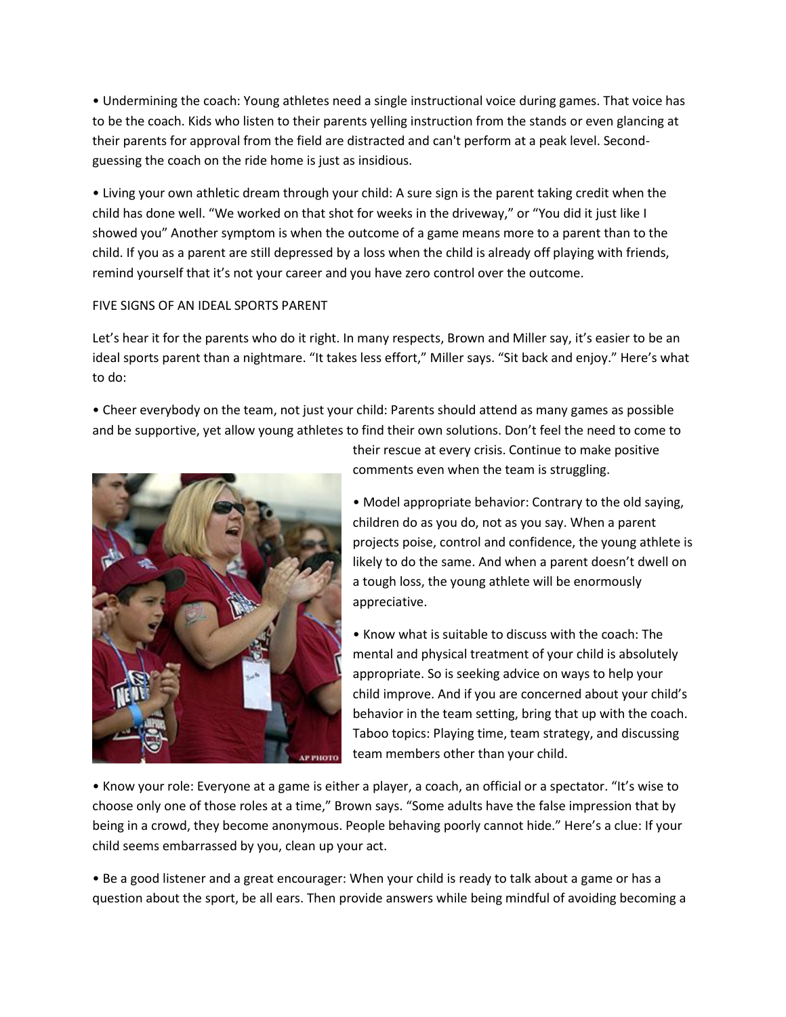• Undermining the coach: Young athletes need a single instructional voice during games. That voice has to be the coach. Kids who listen to their parents yelling instruction from the stands or even glancing at their parents for approval from the field are distracted and can't perform at a peak level. Secondguessing the coach on the ride home is just as insidious.

• Living your own athletic dream through your child: A sure sign is the parent taking credit when the child has done well. "We worked on that shot for weeks in the driveway," or "You did it just like I showed you" Another symptom is when the outcome of a game means more to a parent than to the child. If you as a parent are still depressed by a loss when the child is already off playing with friends, remind yourself that it's not your career and you have zero control over the outcome.

## FIVE SIGNS OF AN IDEAL SPORTS PARENT

Let's hear it for the parents who do it right. In many respects, Brown and Miller say, it's easier to be an ideal sports parent than a nightmare. "It takes less effort," Miller says. "Sit back and enjoy." Here's what to do:

• Cheer everybody on the team, not just your child: Parents should attend as many games as possible and be supportive, yet allow young athletes to find their own solutions. Don't feel the need to come to



their rescue at every crisis. Continue to make positive comments even when the team is struggling.

• Model appropriate behavior: Contrary to the old saying, children do as you do, not as you say. When a parent projects poise, control and confidence, the young athlete is likely to do the same. And when a parent doesn't dwell on a tough loss, the young athlete will be enormously appreciative.

• Know what is suitable to discuss with the coach: The mental and physical treatment of your child is absolutely appropriate. So is seeking advice on ways to help your child improve. And if you are concerned about your child's behavior in the team setting, bring that up with the coach. Taboo topics: Playing time, team strategy, and discussing team members other than your child.

• Know your role: Everyone at a game is either a player, a coach, an official or a spectator. "It's wise to choose only one of those roles at a time," Brown says. "Some adults have the false impression that by being in a crowd, they become anonymous. People behaving poorly cannot hide." Here's a clue: If your child seems embarrassed by you, clean up your act.

• Be a good listener and a great encourager: When your child is ready to talk about a game or has a question about the sport, be all ears. Then provide answers while being mindful of avoiding becoming a